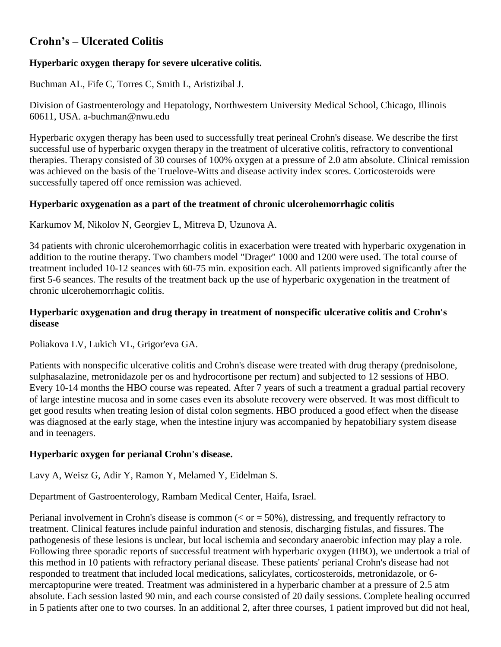# **Crohn's – Ulcerated Colitis**

# **Hyperbaric oxygen therapy for severe ulcerative colitis.**

Buchman AL, Fife C, Torres C, Smith L, Aristizibal J.

Division of Gastroenterology and Hepatology, Northwestern University Medical School, Chicago, Illinois 60611, USA. [a-buchman@nwu.edu](mailto:a-buchman@nwu.edu)

Hyperbaric oxygen therapy has been used to successfully treat perineal Crohn's disease. We describe the first successful use of hyperbaric oxygen therapy in the treatment of ulcerative colitis, refractory to conventional therapies. Therapy consisted of 30 courses of 100% oxygen at a pressure of 2.0 atm absolute. Clinical remission was achieved on the basis of the Truelove-Witts and disease activity index scores. Corticosteroids were successfully tapered off once remission was achieved.

# **Hyperbaric oxygenation as a part of the treatment of chronic ulcerohemorrhagic colitis**

Karkumov M, Nikolov N, Georgiev L, Mitreva D, Uzunova A.

34 patients with chronic ulcerohemorrhagic colitis in exacerbation were treated with hyperbaric oxygenation in addition to the routine therapy. Two chambers model "Drager" 1000 and 1200 were used. The total course of treatment included 10-12 seances with 60-75 min. exposition each. All patients improved significantly after the first 5-6 seances. The results of the treatment back up the use of hyperbaric oxygenation in the treatment of chronic ulcerohemorrhagic colitis.

## **Hyperbaric oxygenation and drug therapy in treatment of nonspecific ulcerative colitis and Crohn's disease**

Poliakova LV, Lukich VL, Grigor'eva GA.

Patients with nonspecific ulcerative colitis and Crohn's disease were treated with drug therapy (prednisolone, sulphasalazine, metronidazole per os and hydrocortisone per rectum) and subjected to 12 sessions of HBO. Every 10-14 months the HBO course was repeated. After 7 years of such a treatment a gradual partial recovery of large intestine mucosa and in some cases even its absolute recovery were observed. It was most difficult to get good results when treating lesion of distal colon segments. HBO produced a good effect when the disease was diagnosed at the early stage, when the intestine injury was accompanied by hepatobiliary system disease and in teenagers.

## **Hyperbaric oxygen for perianal Crohn's disease.**

Lavy A, Weisz G, Adir Y, Ramon Y, Melamed Y, Eidelman S.

Department of Gastroenterology, Rambam Medical Center, Haifa, Israel.

Perianal involvement in Crohn's disease is common ( $\langle$  or  $=$  50%), distressing, and frequently refractory to treatment. Clinical features include painful induration and stenosis, discharging fistulas, and fissures. The pathogenesis of these lesions is unclear, but local ischemia and secondary anaerobic infection may play a role. Following three sporadic reports of successful treatment with hyperbaric oxygen (HBO), we undertook a trial of this method in 10 patients with refractory perianal disease. These patients' perianal Crohn's disease had not responded to treatment that included local medications, salicylates, corticosteroids, metronidazole, or 6 mercaptopurine were treated. Treatment was administered in a hyperbaric chamber at a pressure of 2.5 atm absolute. Each session lasted 90 min, and each course consisted of 20 daily sessions. Complete healing occurred in 5 patients after one to two courses. In an additional 2, after three courses, 1 patient improved but did not heal,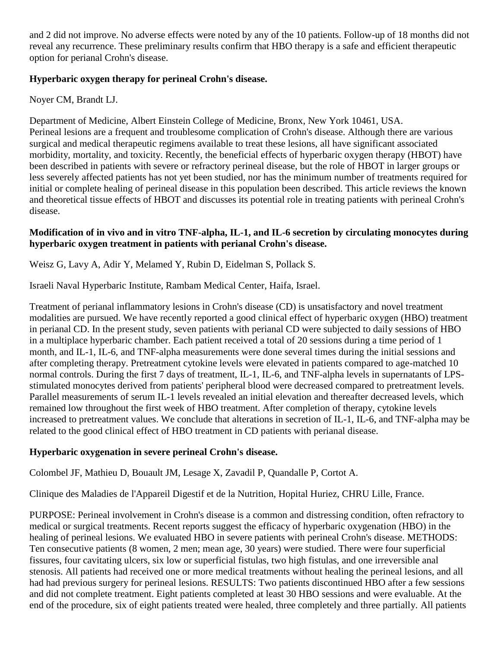and 2 did not improve. No adverse effects were noted by any of the 10 patients. Follow-up of 18 months did not reveal any recurrence. These preliminary results confirm that HBO therapy is a safe and efficient therapeutic option for perianal Crohn's disease.

# **Hyperbaric oxygen therapy for perineal Crohn's disease.**

Noyer CM, Brandt LJ.

Department of Medicine, Albert Einstein College of Medicine, Bronx, New York 10461, USA. Perineal lesions are a frequent and troublesome complication of Crohn's disease. Although there are various surgical and medical therapeutic regimens available to treat these lesions, all have significant associated morbidity, mortality, and toxicity. Recently, the beneficial effects of hyperbaric oxygen therapy (HBOT) have been described in patients with severe or refractory perineal disease, but the role of HBOT in larger groups or less severely affected patients has not yet been studied, nor has the minimum number of treatments required for initial or complete healing of perineal disease in this population been described. This article reviews the known and theoretical tissue effects of HBOT and discusses its potential role in treating patients with perineal Crohn's disease.

#### **Modification of in vivo and in vitro TNF-alpha, IL-1, and IL-6 secretion by circulating monocytes during hyperbaric oxygen treatment in patients with perianal Crohn's disease.**

Weisz G, Lavy A, Adir Y, Melamed Y, Rubin D, Eidelman S, Pollack S.

Israeli Naval Hyperbaric Institute, Rambam Medical Center, Haifa, Israel.

Treatment of perianal inflammatory lesions in Crohn's disease (CD) is unsatisfactory and novel treatment modalities are pursued. We have recently reported a good clinical effect of hyperbaric oxygen (HBO) treatment in perianal CD. In the present study, seven patients with perianal CD were subjected to daily sessions of HBO in a multiplace hyperbaric chamber. Each patient received a total of 20 sessions during a time period of 1 month, and IL-1, IL-6, and TNF-alpha measurements were done several times during the initial sessions and after completing therapy. Pretreatment cytokine levels were elevated in patients compared to age-matched 10 normal controls. During the first 7 days of treatment, IL-1, IL-6, and TNF-alpha levels in supernatants of LPSstimulated monocytes derived from patients' peripheral blood were decreased compared to pretreatment levels. Parallel measurements of serum IL-1 levels revealed an initial elevation and thereafter decreased levels, which remained low throughout the first week of HBO treatment. After completion of therapy, cytokine levels increased to pretreatment values. We conclude that alterations in secretion of IL-1, IL-6, and TNF-alpha may be related to the good clinical effect of HBO treatment in CD patients with perianal disease.

## **Hyperbaric oxygenation in severe perineal Crohn's disease.**

Colombel JF, Mathieu D, Bouault JM, Lesage X, Zavadil P, Quandalle P, Cortot A.

Clinique des Maladies de l'Appareil Digestif et de la Nutrition, Hopital Huriez, CHRU Lille, France.

PURPOSE: Perineal involvement in Crohn's disease is a common and distressing condition, often refractory to medical or surgical treatments. Recent reports suggest the efficacy of hyperbaric oxygenation (HBO) in the healing of perineal lesions. We evaluated HBO in severe patients with perineal Crohn's disease. METHODS: Ten consecutive patients (8 women, 2 men; mean age, 30 years) were studied. There were four superficial fissures, four cavitating ulcers, six low or superficial fistulas, two high fistulas, and one irreversible anal stenosis. All patients had received one or more medical treatments without healing the perineal lesions, and all had had previous surgery for perineal lesions. RESULTS: Two patients discontinued HBO after a few sessions and did not complete treatment. Eight patients completed at least 30 HBO sessions and were evaluable. At the end of the procedure, six of eight patients treated were healed, three completely and three partially. All patients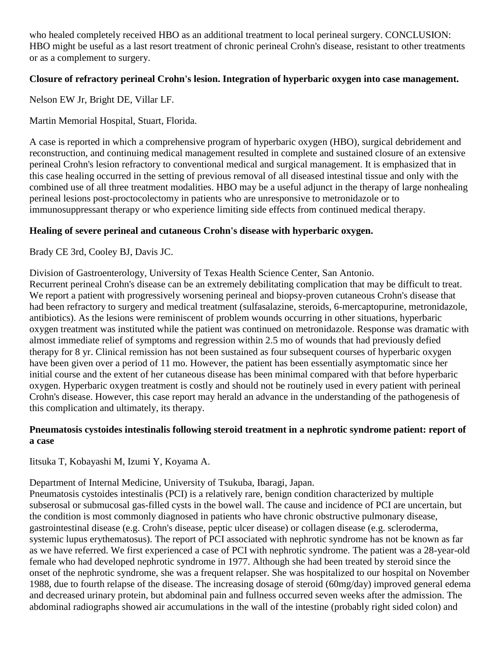who healed completely received HBO as an additional treatment to local perineal surgery. CONCLUSION: HBO might be useful as a last resort treatment of chronic perineal Crohn's disease, resistant to other treatments or as a complement to surgery.

## **Closure of refractory perineal Crohn's lesion. Integration of hyperbaric oxygen into case management.**

Nelson EW Jr, Bright DE, Villar LF.

Martin Memorial Hospital, Stuart, Florida.

A case is reported in which a comprehensive program of hyperbaric oxygen (HBO), surgical debridement and reconstruction, and continuing medical management resulted in complete and sustained closure of an extensive perineal Crohn's lesion refractory to conventional medical and surgical management. It is emphasized that in this case healing occurred in the setting of previous removal of all diseased intestinal tissue and only with the combined use of all three treatment modalities. HBO may be a useful adjunct in the therapy of large nonhealing perineal lesions post-proctocolectomy in patients who are unresponsive to metronidazole or to immunosuppressant therapy or who experience limiting side effects from continued medical therapy.

# **Healing of severe perineal and cutaneous Crohn's disease with hyperbaric oxygen.**

Brady CE 3rd, Cooley BJ, Davis JC.

Division of Gastroenterology, University of Texas Health Science Center, San Antonio.

Recurrent perineal Crohn's disease can be an extremely debilitating complication that may be difficult to treat. We report a patient with progressively worsening perineal and biopsy-proven cutaneous Crohn's disease that had been refractory to surgery and medical treatment (sulfasalazine, steroids, 6-mercaptopurine, metronidazole, antibiotics). As the lesions were reminiscent of problem wounds occurring in other situations, hyperbaric oxygen treatment was instituted while the patient was continued on metronidazole. Response was dramatic with almost immediate relief of symptoms and regression within 2.5 mo of wounds that had previously defied therapy for 8 yr. Clinical remission has not been sustained as four subsequent courses of hyperbaric oxygen have been given over a period of 11 mo. However, the patient has been essentially asymptomatic since her initial course and the extent of her cutaneous disease has been minimal compared with that before hyperbaric oxygen. Hyperbaric oxygen treatment is costly and should not be routinely used in every patient with perineal Crohn's disease. However, this case report may herald an advance in the understanding of the pathogenesis of this complication and ultimately, its therapy.

# **Pneumatosis cystoides intestinalis following steroid treatment in a nephrotic syndrome patient: report of a case**

Iitsuka T, Kobayashi M, Izumi Y, Koyama A.

Department of Internal Medicine, University of Tsukuba, Ibaragi, Japan.

Pneumatosis cystoides intestinalis (PCI) is a relatively rare, benign condition characterized by multiple subserosal or submucosal gas-filled cysts in the bowel wall. The cause and incidence of PCI are uncertain, but the condition is most commonly diagnosed in patients who have chronic obstructive pulmonary disease, gastrointestinal disease (e.g. Crohn's disease, peptic ulcer disease) or collagen disease (e.g. scleroderma, systemic lupus erythematosus). The report of PCI associated with nephrotic syndrome has not be known as far as we have referred. We first experienced a case of PCI with nephrotic syndrome. The patient was a 28-year-old female who had developed nephrotic syndrome in 1977. Although she had been treated by steroid since the onset of the nephrotic syndrome, she was a frequent relapser. She was hospitalized to our hospital on November 1988, due to fourth relapse of the disease. The increasing dosage of steroid (60mg/day) improved general edema and decreased urinary protein, but abdominal pain and fullness occurred seven weeks after the admission. The abdominal radiographs showed air accumulations in the wall of the intestine (probably right sided colon) and